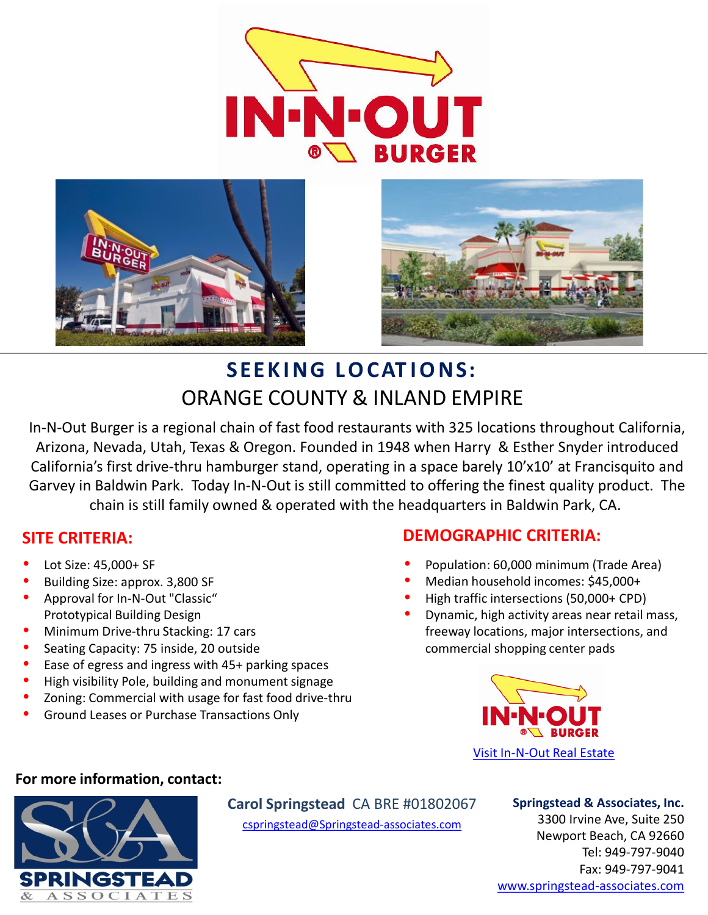





# **SEEK ING LOCAT IONS:** ORANGE COUNTY & INLAND EMPIRE

In-N-Out Burger is a regional chain of fast food restaurants with 325 locations throughout California, Arizona, Nevada, Utah, Texas & Oregon. Founded in 1948 when Harry & Esther Snyder introduced California's first drive-thru hamburger stand, operating in a space barely 10'x10' at Francisquito and Garvey in Baldwin Park. Today In-N-Out is still committed to offering the finest quality product. The chain is still family owned & operated with the headquarters in Baldwin Park, CA.

# **SITE CRITERIA:**

- Lot Size: 45,000+ SF
- Building Size: approx. 3,800 SF
- Approval for In-N-Out "Classic" Prototypical Building Design
- Minimum Drive-thru Stacking: 17 cars
- Seating Capacity: 75 inside, 20 outside
- Ease of egress and ingress with 45+ parking spaces
- High visibility Pole, building and monument signage
- Zoning: Commercial with usage for fast food drive-thru
- Ground Leases or Purchase Transactions Only

# **DEMOGRAPHIC CRITERIA:**

- Population: 60,000 minimum (Trade Area)
- Median household incomes: \$45,000+
- High traffic intersections (50,000+ CPD)
- Dynamic, high activity areas near retail mass, freeway locations, major intersections, and commercial shopping center pads



### **For more information, contact:**



[cspringstead@Springstead-associates.com](mailto:cspringstead@springstead-associates.com?subject=In-N-Out%20Locations)

# **Springstead & Associates, Inc.**

3300 Irvine Ave, Suite 250 Newport Beach, CA 92660 Tel: 949-797-9040 Fax: 949-797-9041 [www.springstead-associates.com](http://www.springstead-associates.com/)